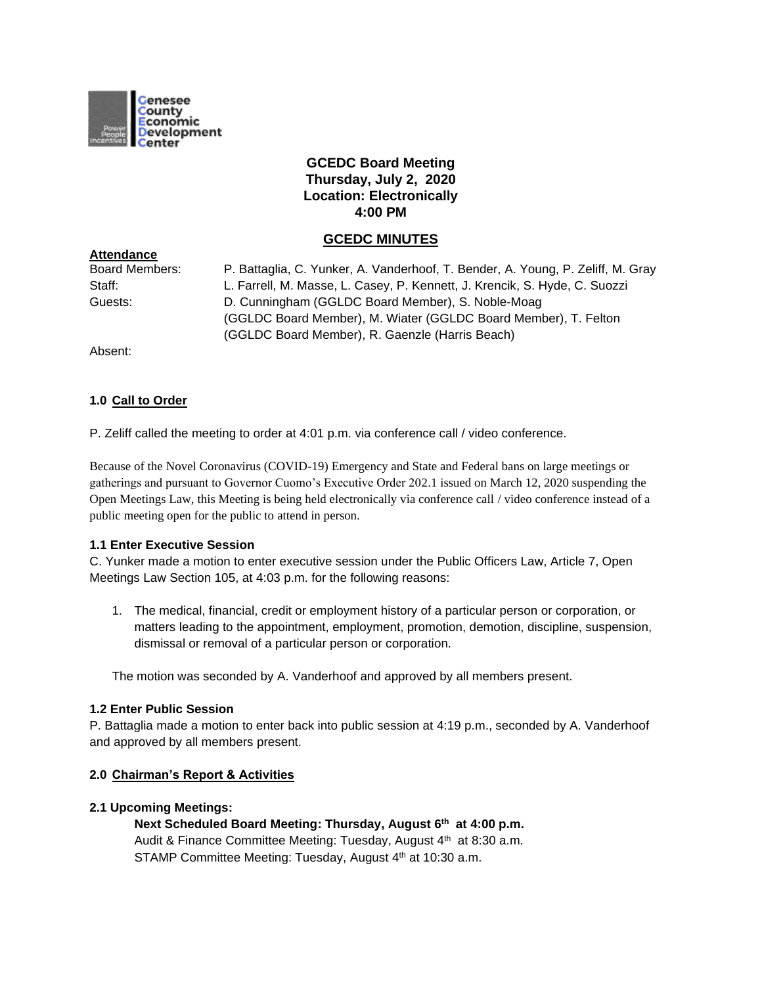

# **GCEDC Board Meeting Thursday, July 2, 2020 Location: Electronically 4:00 PM**

## **GCEDC MINUTES**

| <b>Board Members:</b> | P. Battaglia, C. Yunker, A. Vanderhoof, T. Bender, A. Young, P. Zeliff, M. Gray |
|-----------------------|---------------------------------------------------------------------------------|
| Staff:                | L. Farrell, M. Masse, L. Casey, P. Kennett, J. Krencik, S. Hyde, C. Suozzi      |
| Guests:               | D. Cunningham (GGLDC Board Member), S. Noble-Moag                               |
|                       | (GGLDC Board Member), M. Wiater (GGLDC Board Member), T. Felton                 |
|                       | (GGLDC Board Member), R. Gaenzle (Harris Beach)                                 |
|                       |                                                                                 |

Absent:

**Attendance**

### **1.0 Call to Order**

P. Zeliff called the meeting to order at 4:01 p.m. via conference call / video conference.

Because of the Novel Coronavirus (COVID-19) Emergency and State and Federal bans on large meetings or gatherings and pursuant to Governor Cuomo's Executive Order 202.1 issued on March 12, 2020 suspending the Open Meetings Law, this Meeting is being held electronically via conference call / video conference instead of a public meeting open for the public to attend in person.

### **1.1 Enter Executive Session**

C. Yunker made a motion to enter executive session under the Public Officers Law, Article 7, Open Meetings Law Section 105, at 4:03 p.m. for the following reasons:

1. The medical, financial, credit or employment history of a particular person or corporation, or matters leading to the appointment, employment, promotion, demotion, discipline, suspension, dismissal or removal of a particular person or corporation.

The motion was seconded by A. Vanderhoof and approved by all members present.

### **1.2 Enter Public Session**

P. Battaglia made a motion to enter back into public session at 4:19 p.m., seconded by A. Vanderhoof and approved by all members present.

### **2.0 Chairman's Report & Activities**

### **2.1 Upcoming Meetings:**

**Next Scheduled Board Meeting: Thursday, August 6th at 4:00 p.m.** Audit & Finance Committee Meeting: Tuesday, August 4<sup>th</sup> at 8:30 a.m. STAMP Committee Meeting: Tuesday, August 4<sup>th</sup> at 10:30 a.m.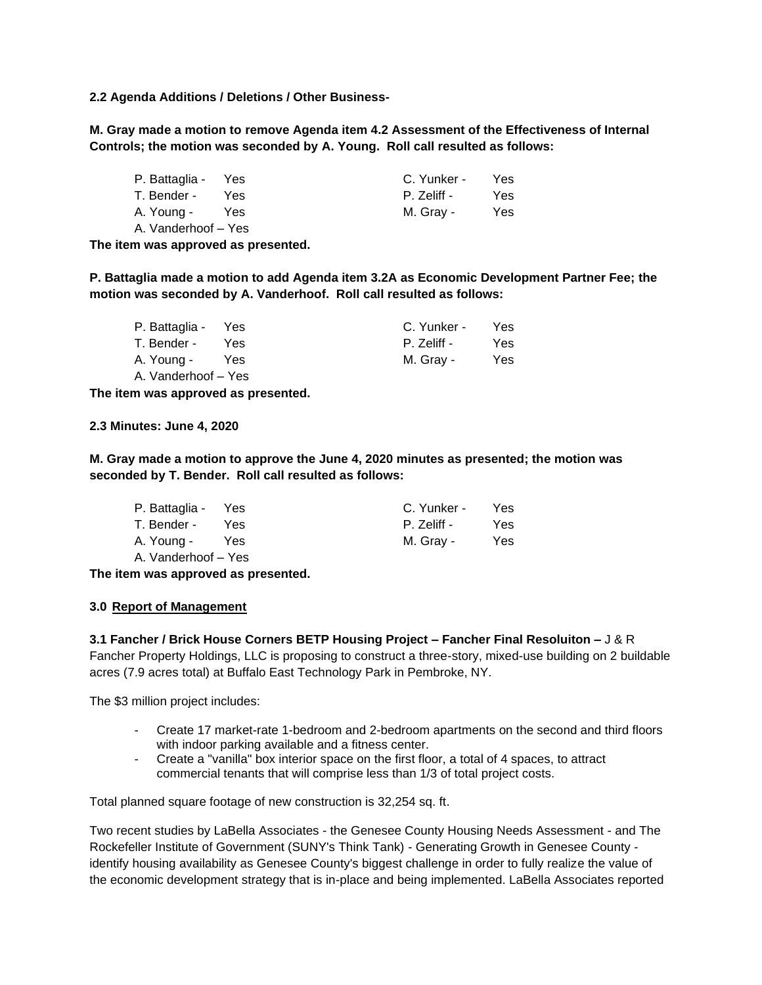**2.2 Agenda Additions / Deletions / Other Business-**

**M. Gray made a motion to remove Agenda item 4.2 Assessment of the Effectiveness of Internal Controls; the motion was seconded by A. Young. Roll call resulted as follows:**

| P. Battaglia - Yes  |     | C. Yunker - | Yes  |
|---------------------|-----|-------------|------|
| T. Bender -         | Yes | P. Zeliff - | Yes. |
| A. Young -          | Yes | M. Gray -   | Yes  |
| A. Vanderhoof – Yes |     |             |      |

**The item was approved as presented.**

**P. Battaglia made a motion to add Agenda item 3.2A as Economic Development Partner Fee; the motion was seconded by A. Vanderhoof. Roll call resulted as follows:**

| P. Battaglia -      | Yes  | C. Yunker - | Yes. |
|---------------------|------|-------------|------|
| T. Bender -         | Yes. | P. Zeliff - | Yes. |
| A. Young -          | Yes  | M. Gray -   | Yes. |
| A. Vanderhoof – Yes |      |             |      |

**The item was approved as presented.**

**2.3 Minutes: June 4, 2020**

**M. Gray made a motion to approve the June 4, 2020 minutes as presented; the motion was seconded by T. Bender. Roll call resulted as follows:**

| P. Battaglia - Yes  |      | C. Yunker - | Yes. |
|---------------------|------|-------------|------|
| T. Bender -         | Yes. | P. Zeliff - | Yes. |
| A. Young -          | Yes  | M. Gray -   | Yes. |
| A. Vanderhoof - Yes |      |             |      |

**The item was approved as presented.**

### **3.0 Report of Management**

**3.1 Fancher / Brick House Corners BETP Housing Project – Fancher Final Resoluiton –** J & R Fancher Property Holdings, LLC is proposing to construct a three-story, mixed-use building on 2 buildable acres (7.9 acres total) at Buffalo East Technology Park in Pembroke, NY.

The \$3 million project includes:

- Create 17 market-rate 1-bedroom and 2-bedroom apartments on the second and third floors with indoor parking available and a fitness center.
- Create a "vanilla" box interior space on the first floor, a total of 4 spaces, to attract commercial tenants that will comprise less than 1/3 of total project costs.

Total planned square footage of new construction is 32,254 sq. ft.

Two recent studies by LaBella Associates - the Genesee County Housing Needs Assessment - and The Rockefeller Institute of Government (SUNY's Think Tank) - Generating Growth in Genesee County identify housing availability as Genesee County's biggest challenge in order to fully realize the value of the economic development strategy that is in-place and being implemented. LaBella Associates reported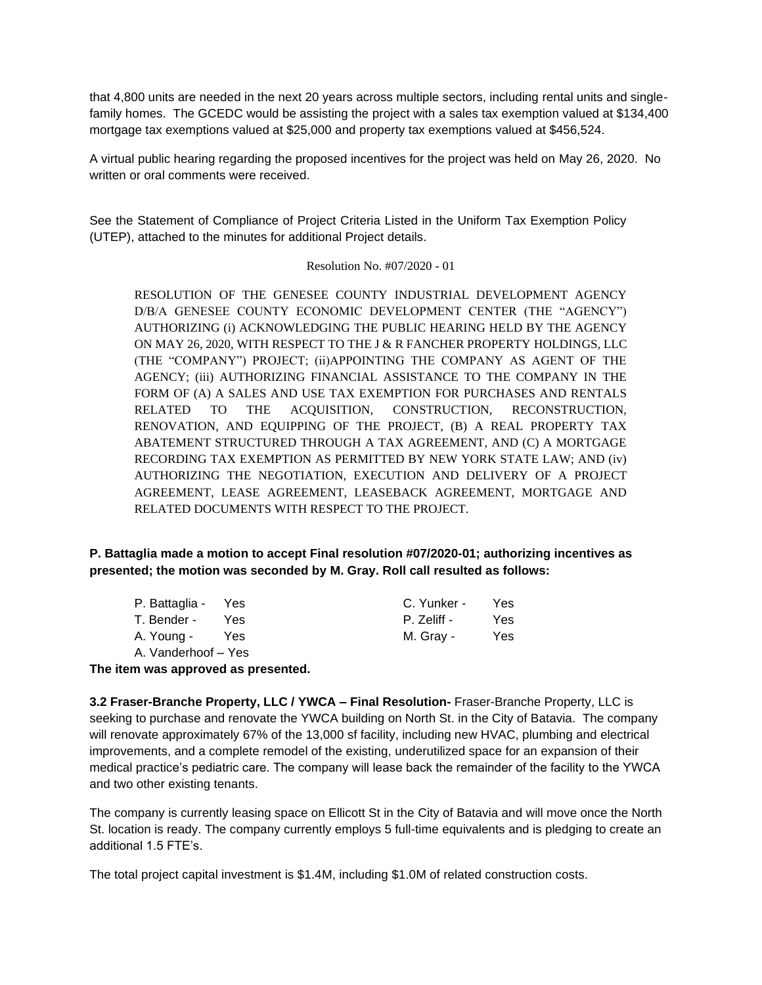that 4,800 units are needed in the next 20 years across multiple sectors, including rental units and singlefamily homes. The GCEDC would be assisting the project with a sales tax exemption valued at \$134,400 mortgage tax exemptions valued at \$25,000 and property tax exemptions valued at \$456,524.

A virtual public hearing regarding the proposed incentives for the project was held on May 26, 2020. No written or oral comments were received

See the Statement of Compliance of Project Criteria Listed in the Uniform Tax Exemption Policy (UTEP), attached to the minutes for additional Project details.

### Resolution No. #07/2020 - 01

RESOLUTION OF THE GENESEE COUNTY INDUSTRIAL DEVELOPMENT AGENCY D/B/A GENESEE COUNTY ECONOMIC DEVELOPMENT CENTER (THE "AGENCY") AUTHORIZING (i) ACKNOWLEDGING THE PUBLIC HEARING HELD BY THE AGENCY ON MAY 26, 2020, WITH RESPECT TO THE J & R FANCHER PROPERTY HOLDINGS, LLC (THE "COMPANY") PROJECT; (ii)APPOINTING THE COMPANY AS AGENT OF THE AGENCY; (iii) AUTHORIZING FINANCIAL ASSISTANCE TO THE COMPANY IN THE FORM OF (A) A SALES AND USE TAX EXEMPTION FOR PURCHASES AND RENTALS RELATED TO THE ACQUISITION, CONSTRUCTION, RECONSTRUCTION, RENOVATION, AND EQUIPPING OF THE PROJECT, (B) A REAL PROPERTY TAX ABATEMENT STRUCTURED THROUGH A TAX AGREEMENT, AND (C) A MORTGAGE RECORDING TAX EXEMPTION AS PERMITTED BY NEW YORK STATE LAW; AND (iv) AUTHORIZING THE NEGOTIATION, EXECUTION AND DELIVERY OF A PROJECT AGREEMENT, LEASE AGREEMENT, LEASEBACK AGREEMENT, MORTGAGE AND RELATED DOCUMENTS WITH RESPECT TO THE PROJECT.

**P. Battaglia made a motion to accept Final resolution #07/2020-01; authorizing incentives as presented; the motion was seconded by M. Gray. Roll call resulted as follows:**

| P. Battaglia - Yes  |     | C. Yunker - | Yes. |
|---------------------|-----|-------------|------|
| T. Bender -         | Yes | P. Zeliff - | Yes. |
| A. Young -          | Yes | M. Gray -   | Yes. |
| A. Vanderhoof – Yes |     |             |      |

**The item was approved as presented.**

**3.2 Fraser-Branche Property, LLC / YWCA – Final Resolution-** Fraser-Branche Property, LLC is seeking to purchase and renovate the YWCA building on North St. in the City of Batavia. The company will renovate approximately 67% of the 13,000 sf facility, including new HVAC, plumbing and electrical improvements, and a complete remodel of the existing, underutilized space for an expansion of their medical practice's pediatric care. The company will lease back the remainder of the facility to the YWCA and two other existing tenants.

The company is currently leasing space on Ellicott St in the City of Batavia and will move once the North St. location is ready. The company currently employs 5 full-time equivalents and is pledging to create an additional 1.5 FTE's.

The total project capital investment is \$1.4M, including \$1.0M of related construction costs.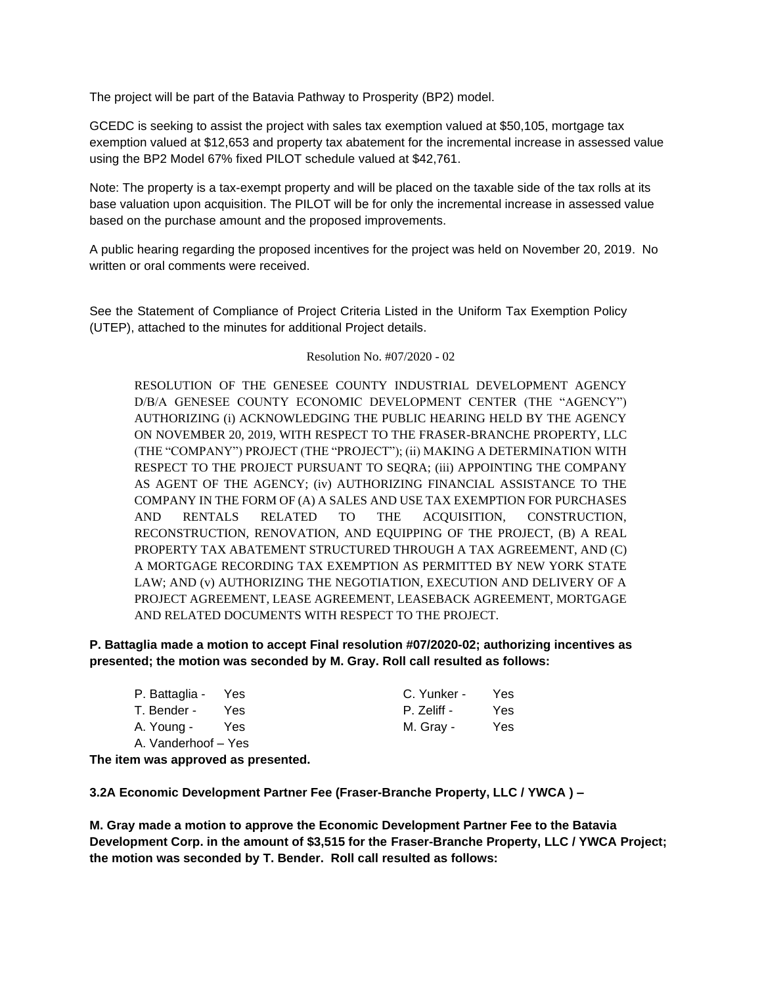The project will be part of the Batavia Pathway to Prosperity (BP2) model.

GCEDC is seeking to assist the project with sales tax exemption valued at \$50,105, mortgage tax exemption valued at \$12,653 and property tax abatement for the incremental increase in assessed value using the BP2 Model 67% fixed PILOT schedule valued at \$42,761.

Note: The property is a tax-exempt property and will be placed on the taxable side of the tax rolls at its base valuation upon acquisition. The PILOT will be for only the incremental increase in assessed value based on the purchase amount and the proposed improvements.

A public hearing regarding the proposed incentives for the project was held on November 20, 2019. No written or oral comments were received.

See the Statement of Compliance of Project Criteria Listed in the Uniform Tax Exemption Policy (UTEP), attached to the minutes for additional Project details.

### Resolution No. #07/2020 - 02

RESOLUTION OF THE GENESEE COUNTY INDUSTRIAL DEVELOPMENT AGENCY D/B/A GENESEE COUNTY ECONOMIC DEVELOPMENT CENTER (THE "AGENCY") AUTHORIZING (i) ACKNOWLEDGING THE PUBLIC HEARING HELD BY THE AGENCY ON NOVEMBER 20, 2019, WITH RESPECT TO THE FRASER-BRANCHE PROPERTY, LLC (THE "COMPANY") PROJECT (THE "PROJECT"); (ii) MAKING A DETERMINATION WITH RESPECT TO THE PROJECT PURSUANT TO SEQRA; (iii) APPOINTING THE COMPANY AS AGENT OF THE AGENCY; (iv) AUTHORIZING FINANCIAL ASSISTANCE TO THE COMPANY IN THE FORM OF (A) A SALES AND USE TAX EXEMPTION FOR PURCHASES AND RENTALS RELATED TO THE ACQUISITION, CONSTRUCTION, RECONSTRUCTION, RENOVATION, AND EQUIPPING OF THE PROJECT, (B) A REAL PROPERTY TAX ABATEMENT STRUCTURED THROUGH A TAX AGREEMENT, AND (C) A MORTGAGE RECORDING TAX EXEMPTION AS PERMITTED BY NEW YORK STATE LAW; AND (v) AUTHORIZING THE NEGOTIATION, EXECUTION AND DELIVERY OF A PROJECT AGREEMENT, LEASE AGREEMENT, LEASEBACK AGREEMENT, MORTGAGE AND RELATED DOCUMENTS WITH RESPECT TO THE PROJECT.

**P. Battaglia made a motion to accept Final resolution #07/2020-02; authorizing incentives as presented; the motion was seconded by M. Gray. Roll call resulted as follows:**

| P. Battaglia - Yes  |      | C. Yunker - | Yes. |
|---------------------|------|-------------|------|
| T. Bender -         | Yes. | P. Zeliff - | Yes. |
| A. Young -          | Yes  | M. Gray -   | Yes. |
| A. Vanderhoof – Yes |      |             |      |

**The item was approved as presented.**

**3.2A Economic Development Partner Fee (Fraser-Branche Property, LLC / YWCA ) –**

**M. Gray made a motion to approve the Economic Development Partner Fee to the Batavia Development Corp. in the amount of \$3,515 for the Fraser-Branche Property, LLC / YWCA Project; the motion was seconded by T. Bender. Roll call resulted as follows:**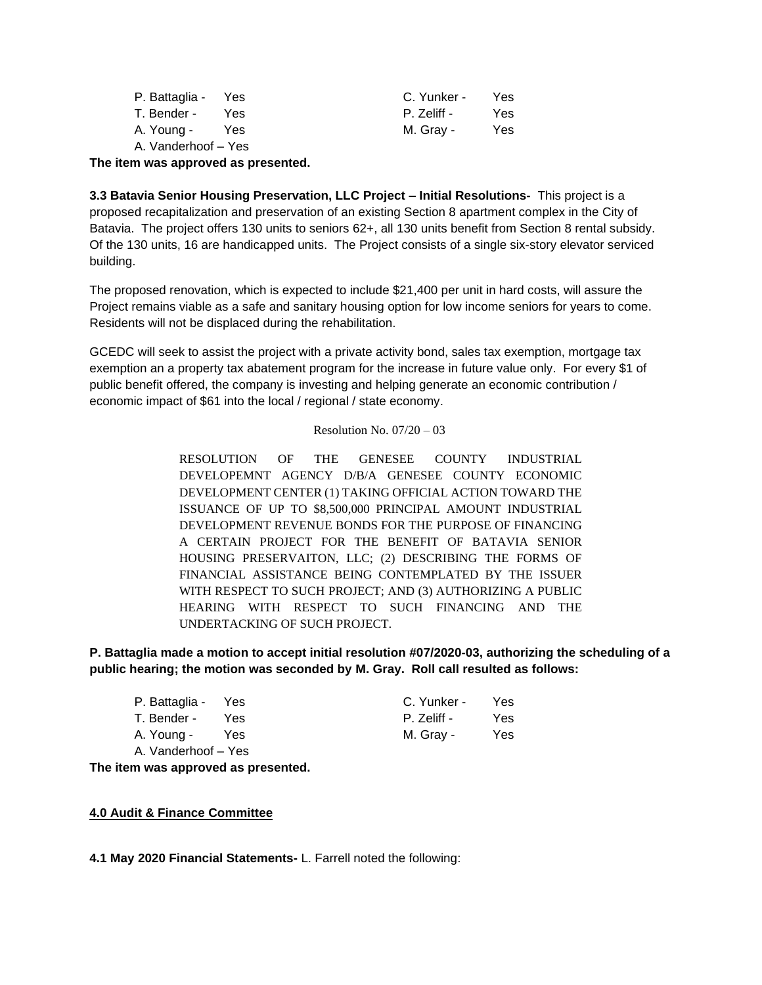| P. Battaglia - Yes  |      | C. Yunker - | Yes. |
|---------------------|------|-------------|------|
| T. Bender -         | Yes. | P. Zeliff - | Yes. |
| A. Young -          | Yes  | M. Gray -   | Yes  |
| A. Vanderhoof – Yes |      |             |      |

**The item was approved as presented.**

**3.3 Batavia Senior Housing Preservation, LLC Project – Initial Resolutions-** This project is a proposed recapitalization and preservation of an existing Section 8 apartment complex in the City of Batavia. The project offers 130 units to seniors 62+, all 130 units benefit from Section 8 rental subsidy. Of the 130 units, 16 are handicapped units. The Project consists of a single six-story elevator serviced building.

The proposed renovation, which is expected to include \$21,400 per unit in hard costs, will assure the Project remains viable as a safe and sanitary housing option for low income seniors for years to come. Residents will not be displaced during the rehabilitation.

GCEDC will seek to assist the project with a private activity bond, sales tax exemption, mortgage tax exemption an a property tax abatement program for the increase in future value only. For every \$1 of public benefit offered, the company is investing and helping generate an economic contribution / economic impact of \$61 into the local / regional / state economy.

#### Resolution No.  $07/20 - 03$

RESOLUTION OF THE GENESEE COUNTY INDUSTRIAL DEVELOPEMNT AGENCY D/B/A GENESEE COUNTY ECONOMIC DEVELOPMENT CENTER (1) TAKING OFFICIAL ACTION TOWARD THE ISSUANCE OF UP TO \$8,500,000 PRINCIPAL AMOUNT INDUSTRIAL DEVELOPMENT REVENUE BONDS FOR THE PURPOSE OF FINANCING A CERTAIN PROJECT FOR THE BENEFIT OF BATAVIA SENIOR HOUSING PRESERVAITON, LLC; (2) DESCRIBING THE FORMS OF FINANCIAL ASSISTANCE BEING CONTEMPLATED BY THE ISSUER WITH RESPECT TO SUCH PROJECT; AND (3) AUTHORIZING A PUBLIC HEARING WITH RESPECT TO SUCH FINANCING AND THE UNDERTACKING OF SUCH PROJECT.

**P. Battaglia made a motion to accept initial resolution #07/2020-03, authorizing the scheduling of a public hearing; the motion was seconded by M. Gray. Roll call resulted as follows:**

| P. Battaglia -      | Yes | C. Yunker - | Yes |
|---------------------|-----|-------------|-----|
| T. Bender -         | Yes | P. Zeliff - | Yes |
| A. Young -          | Yes | M. Gray -   | Yes |
| A. Vanderhoof - Yes |     |             |     |

**The item was approved as presented.**

### **4.0 Audit & Finance Committee**

**4.1 May 2020 Financial Statements-** L. Farrell noted the following: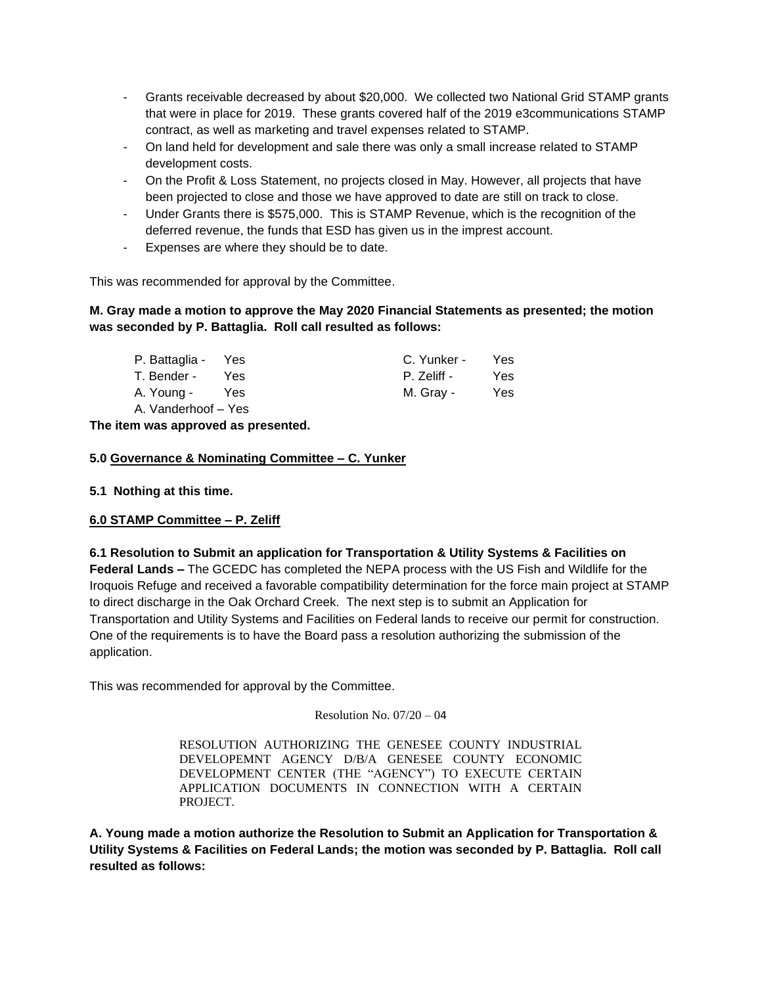- Grants receivable decreased by about \$20,000. We collected two National Grid STAMP grants that were in place for 2019. These grants covered half of the 2019 e3communications STAMP contract, as well as marketing and travel expenses related to STAMP.
- On land held for development and sale there was only a small increase related to STAMP development costs.
- On the Profit & Loss Statement, no projects closed in May. However, all projects that have been projected to close and those we have approved to date are still on track to close.
- Under Grants there is \$575,000. This is STAMP Revenue, which is the recognition of the deferred revenue, the funds that ESD has given us in the imprest account.
- Expenses are where they should be to date.

This was recommended for approval by the Committee.

# **M. Gray made a motion to approve the May 2020 Financial Statements as presented; the motion was seconded by P. Battaglia. Roll call resulted as follows:**

| P. Battaglia -      | Yes  | C. Yunker - | Yes. |
|---------------------|------|-------------|------|
| T. Bender -         | Yes. | P. Zeliff - | Yes. |
| A. Young -          | Yes  | M. Gray -   | Yes. |
| A. Vanderhoof – Yes |      |             |      |

**The item was approved as presented.**

# **5.0 Governance & Nominating Committee – C. Yunker**

### **5.1 Nothing at this time.**

### **6.0 STAMP Committee – P. Zeliff**

# **6.1 Resolution to Submit an application for Transportation & Utility Systems & Facilities on Federal Lands –** The GCEDC has completed the NEPA process with the US Fish and Wildlife for the Iroquois Refuge and received a favorable compatibility determination for the force main project at STAMP to direct discharge in the Oak Orchard Creek. The next step is to submit an Application for Transportation and Utility Systems and Facilities on Federal lands to receive our permit for construction. One of the requirements is to have the Board pass a resolution authorizing the submission of the application.

This was recommended for approval by the Committee.

Resolution No.  $07/20 - 04$ 

RESOLUTION AUTHORIZING THE GENESEE COUNTY INDUSTRIAL DEVELOPEMNT AGENCY D/B/A GENESEE COUNTY ECONOMIC DEVELOPMENT CENTER (THE "AGENCY") TO EXECUTE CERTAIN APPLICATION DOCUMENTS IN CONNECTION WITH A CERTAIN PROJECT.

**A. Young made a motion authorize the Resolution to Submit an Application for Transportation & Utility Systems & Facilities on Federal Lands; the motion was seconded by P. Battaglia. Roll call resulted as follows:**